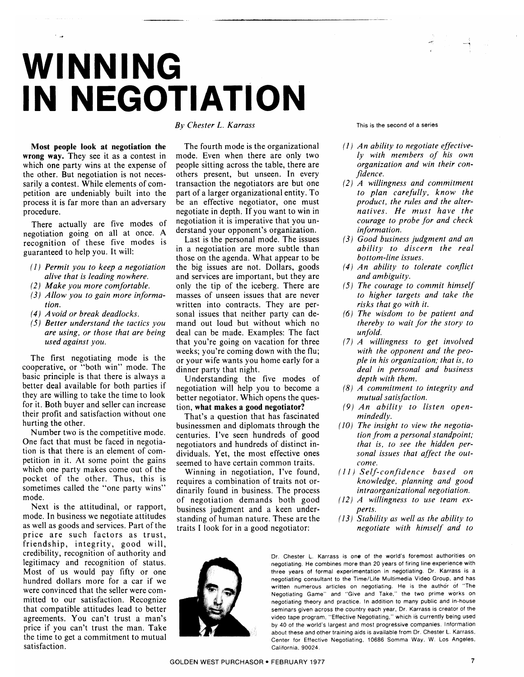## WINNING IN NEGOTIATION

Most people look at negotiation the wrong way. They see it as a contest in which one party wins at the expense of the other. But negotiation is not necessarily a contest. While elements of competition are undeniably built into the process it is far more than an adversary procedure.

There actually are five modes of negotiation going on all at once. A recognition of these five modes is guaranteed to help you. It will:

- $(1)$  Permit you to keep a negotiation alive that is leading nowhere.
- (2) Make you more comfortable.
- (3) Allow you to gain more information.
- $(4)$  Avoid or break deadlocks.
- $(5)$  Better understand the tactics you are using, or those that are being used against you.

The first negotiating mode is the cooperative, or "both win" mode. The basic principle is that there is always a better deal available for both parties if they are willing to take the time to look for it. Both buyer and seller can increase their profit and satisfaction without one hurting the other.

Number two is the competitive mode. One fact that must be faced in negotiation is that there is an element of competition in it. At some point the gains which one party makes come out of the pocket of the other. Thus, this is sometimes called the "one party wins" mode.

Next is the attitudinal, or rapport, mode. In business we negotiate attitudes as well as goods and services. Part of the price are such factors as trust, friendship, integrity, good will, credibility, recognition of authority and legitimacy and recognition of status. Most of us would pay fifty or one hundred dollars more for a car if we were convinced that the seller were committed to our satisfaction. Recognize that compatible attitudes lead to better agreements. You can't trust a man's price if you can't trust the man. Take the time to get a commitment to mutual satisfaction.

## By Chester L. Karrass

The fourth mode is the organizational mode. Even when there are only two people sitting across the table, there are others present, but unseen. In every transaction the negotiators are but one part of a larger organizational entity. To be an effective negotiator, one must negotiate in depth. If you want to win in negotiation it is imperative that you understand your opponent's organization.

Last is the personal mode. The issues in a negotiation are more subtle than those on the agenda. What appear to be the big issues are not. Dollars, goods and services are important, but they are only the tip of the iceberg. There are masses of unseen issues that are never written into contracts. They are personal issues that neither party can demand out loud but without which no deal can be made. Examples: The fact that you're going on vacation for three weeks; you're coming down with the flu; or your wife wants you home early for a dinner party that night.

Understanding the five modes of negotiation will help you to become a better negotiator. Which opens the question, what makes a good negotiator?

That's a question that has fascinated businessmen and diplomats through the centuries. I've seen hundreds of good negotiators and hundreds of distinct individuals. Yet, the most effective ones seemed to have certain common traits.

Winning in negotiation, I've found, requires a combination of traits not ordinarily found in business. The process of negotiation demands both good business judgment and a keen understanding of human nature. These are the traits I look for in a good negotiator:

This is the second of a series

- $(1)$  An ability to negotiate effectively with members of his own organization and win their confidence.
- $(2)$  A willingness and commitment to plan carefully, know the product, the rules and the alternatives. He must have the courage to probe for and check information.
- (3) Good business judgment and an ability to discern the real bottom-line issues.
- (4) An ability to tolerate conflict and ambiguity.
- $(5)$  The courage to commit himself to higher targets and take the risks that go with it.
- $(6)$  The wisdom to be patient and thereby to wait for the story to unfold.
- $(7)$  A willingness to get involved with the opponent and the people in his organization; that is, to deal in personal and business depth with them.
- $(8)$  A commitment to integrity and mutual satisfaction.
- (9) An ability to listen openmindedly.
- (10) The insight to view the negotiation from a personal standpoint; that is, to see the hidden personal issues that affect the outcome.
- (11) Self-confidence based on knowledge, planning and good intraorganizational negotiation.
- $(12)$  A willingness to use team experts.
- $(13)$  Stability as well as the ability to negotiate with himself and to

Dr. Chester L. Karrass is one of the world's foremost authorities on negotiating. He combines more than 20 years of firing line experience with three years of formal experimentation in negotiating. Dr. Karrass is a negotiating consultant to the Time/Life Multimedia Video Group, and has written numerous articles on negotiating. He is the author of "The Negotiating Game" and "Give and Take," the two prime works on negotiating theory and practice. In addition to many public and in-house seminars given across the country each year, Dr. Karrass is creator of the video tape program, "Effective Negotiating," which is currently being used by 40 of the world's largest and most progressive companies. Information about these and other training aids is available from Dr. Chester L. Karrass, Center for Effective Negotiating, 10686 Somma Way, W. Los Angeles, California, 90024.